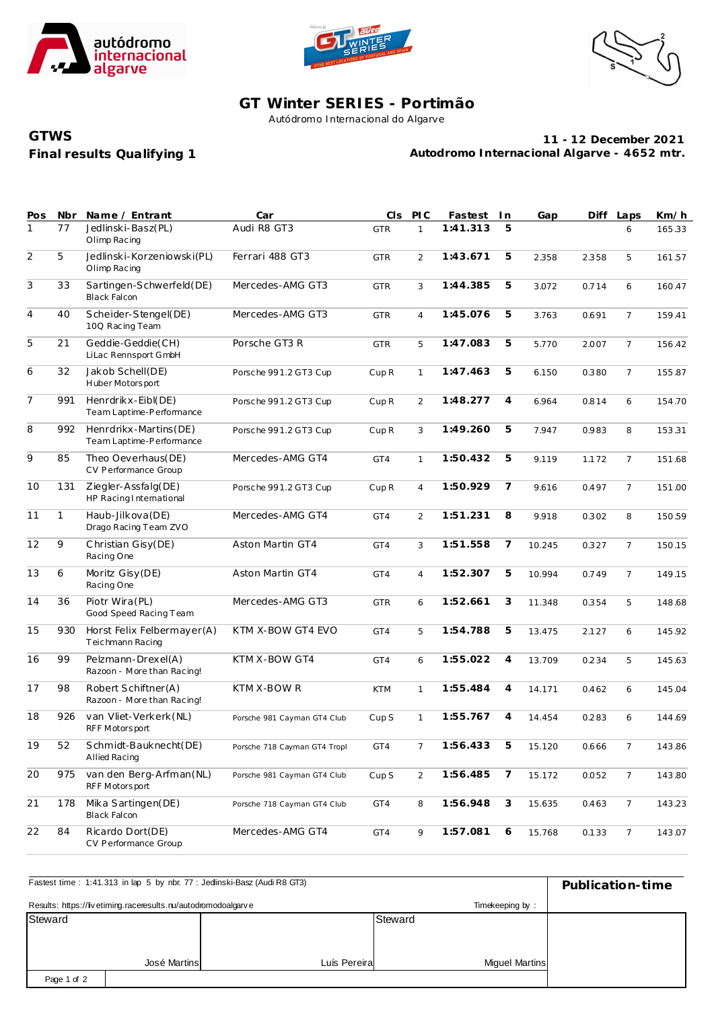





## **GT Winter SERIES - Portimão**

Autódromo Internacional do Algarve

## **Final results Qualifying 1 GTWS**

**11 - 12 December 2021 Autodromo Internacional Algarve - 4652 mtr.**

| Pos            | Nbr          | Name / Entrant                                    | Car                          | CIS              | PLC            | Fastest  | I n            | Gap    | Diff  | Laps            | Km/h   |
|----------------|--------------|---------------------------------------------------|------------------------------|------------------|----------------|----------|----------------|--------|-------|-----------------|--------|
| 1              | 77           | Jedlinski-Basz(PL)<br>Olimp Racing                | Audi R8 GT3                  | <b>GTR</b>       | $\mathbf{1}$   | 1:41.313 | 5              |        |       | 6               | 165.33 |
| $\overline{2}$ | 5            | Jedlinski-Korzeniowski (PL)<br>Olimp Racing       | Ferrari 488 GT3              | <b>GTR</b>       | $\overline{2}$ | 1:43.671 | 5              | 2.358  | 2.358 | 5               | 161.57 |
| $\overline{3}$ | 33           | Sartingen-Schwerfeld(DE)<br><b>Black Falcon</b>   | Mercedes-AMG GT3             | <b>GTR</b>       | 3              | 1:44.385 | 5              | 3.072  | 0.714 | 6               | 160.47 |
| $\overline{4}$ | 40           | Scheider-Stengel(DE)<br>10Q Racing Team           | Mercedes-AMG GT3             | <b>GTR</b>       | $\overline{4}$ | 1:45.076 | 5              | 3.763  | 0.691 | $\overline{7}$  | 159.41 |
| 5              | 21           | Geddie-Geddie(CH)<br>LiLac Rennsport GmbH         | Porsche GT3 R                | <b>GTR</b>       | 5              | 1:47.083 | 5              | 5.770  | 2.007 | $\overline{7}$  | 156.42 |
| 6              | 32           | Jakob Schell(DE)<br>Huber Motorsport              | Porsche 991.2 GT3 Cup        | CupR             | $\mathbf{1}$   | 1:47.463 | 5              | 6.150  | 0.380 | $\overline{7}$  | 155.87 |
| $\overline{7}$ | 991          | Henrdrikx-Eibl(DE)<br>Team Laptime-Performance    | Porsche 991.2 GT3 Cup        | CupR             | 2              | 1:48.277 | $\overline{4}$ | 6.964  | 0.814 | 6               | 154.70 |
| 8              | 992          | Henrdrikx-Martins(DE)<br>Team Laptime-Performance | Porsche 991.2 GT3 Cup        | CupR             | 3              | 1:49.260 | 5              | 7.947  | 0.983 | 8               | 153.31 |
| 9              | 85           | Theo Oeverhaus(DE)<br>CV Performance Group        | Mercedes-AMG GT4             | GT4              | $\mathbf{1}$   | 1:50.432 | 5              | 9.119  | 1.172 | $\overline{7}$  | 151.68 |
| 10             | 131          | Ziegler-Assfalg(DE)<br>HP Racing International    | Porsche 991.2 GT3 Cup        | CupR             | $\overline{4}$ | 1:50.929 | 7              | 9.616  | 0.497 | $\overline{7}$  | 151.00 |
| 11             | $\mathbf{1}$ | Haub-Jilkova (DE)<br>Drago Racing Team ZVO        | Mercedes-AMG GT4             | GT4              | $\overline{2}$ | 1:51.231 | 8              | 9.918  | 0.302 | 8               | 150.59 |
| 12             | 9            | Christian Gisy(DE)<br>Racing One                  | Aston Martin GT4             | GT4              | 3              | 1:51.558 | 7              | 10.245 | 0.327 | $\overline{7}$  | 150.15 |
| 13             | 6            | Moritz Gisy (DE)<br>Racing One                    | Aston Martin GT4             | GT4              | $\overline{4}$ | 1:52.307 | 5              | 10.994 | 0.749 | $\overline{7}$  | 149.15 |
| 14             | 36           | Piotr Wira(PL)<br>Good Speed Racing Team          | Mercedes-AMG GT3             | <b>GTR</b>       | 6              | 1:52.661 | 3              | 11.348 | 0.354 | 5               | 148.68 |
| 15             | 930          | Horst Felix Felbermayer(A)<br>Teichmann Racing    | KTM X-BOW GT4 EVO            | GT4              | 5              | 1:54.788 | 5              | 13.475 | 2.127 | 6               | 145.92 |
| 16             | 99           | Pelzmann-Drexel(A)<br>Razoon - More than Racing!  | KTM X-BOW GT4                | GT4              | 6              | 1:55.022 | $\overline{4}$ | 13.709 | 0.234 | 5               | 145.63 |
| 17             | 98           | Robert Schiftner(A)<br>Razoon - More than Racing! | KTM X-BOW R                  | <b>KTM</b>       | $\mathbf{1}$   | 1:55.484 | 4              | 14.171 | 0.462 | 6               | 145.04 |
| 18             | 926          | van Vliet-Verkerk (NL)<br>RFF Motorsport          | Porsche 981 Cayman GT4 Club  | Cup <sub>S</sub> | $\mathbf{1}$   | 1:55.767 | $\overline{4}$ | 14.454 | 0.283 | 6               | 144.69 |
| 19             | 52           | Schmidt-Bauknecht(DE)<br><b>Allied Racing</b>     | Porsche 718 Cayman GT4 Tropl | GT4              | $7^{\circ}$    | 1:56.433 | 5              | 15.120 | 0.666 | 7               | 143.86 |
| 20             | 975          | van den Berg-Arfman(NL)<br>RFF Motorsport         | Porsche 981 Cayman GT4 Club  | Cup <sub>S</sub> | 2              | 1:56.485 | 7              | 15.172 | 0.052 | $7\overline{ }$ | 143.80 |
| 21             | 178          | Mika Sartingen(DE)<br><b>Black Falcon</b>         | Porsche 718 Cayman GT4 Club  | GT4              | 8              | 1:56.948 | $\sqrt{3}$     | 15.635 | 0.463 | $7\overline{ }$ | 143.23 |
| 22             | 84           | Ricardo Dort(DE)<br>CV Performance Group          | Mercedes-AMG GT4             | GT4              | 9              | 1:57.081 | 6              | 15.768 | 0.133 | $7\overline{ }$ | 143.07 |

| Fastest time: 1:41.313 in lap 5 by nbr. 77 : Jedinski-Basz (Audi R8 GT3) | Publication-time |              |                       |  |  |  |  |  |  |
|--------------------------------------------------------------------------|------------------|--------------|-----------------------|--|--|--|--|--|--|
| Results: https://livetiming.raceresults.nu/autodromodoalgarve            |                  |              |                       |  |  |  |  |  |  |
| Steward                                                                  |                  |              | Steward               |  |  |  |  |  |  |
|                                                                          |                  |              |                       |  |  |  |  |  |  |
|                                                                          |                  |              |                       |  |  |  |  |  |  |
|                                                                          | José Martins     | Luís Pereira | <b>Miquel Martins</b> |  |  |  |  |  |  |
| Page 1 of 2                                                              |                  |              |                       |  |  |  |  |  |  |